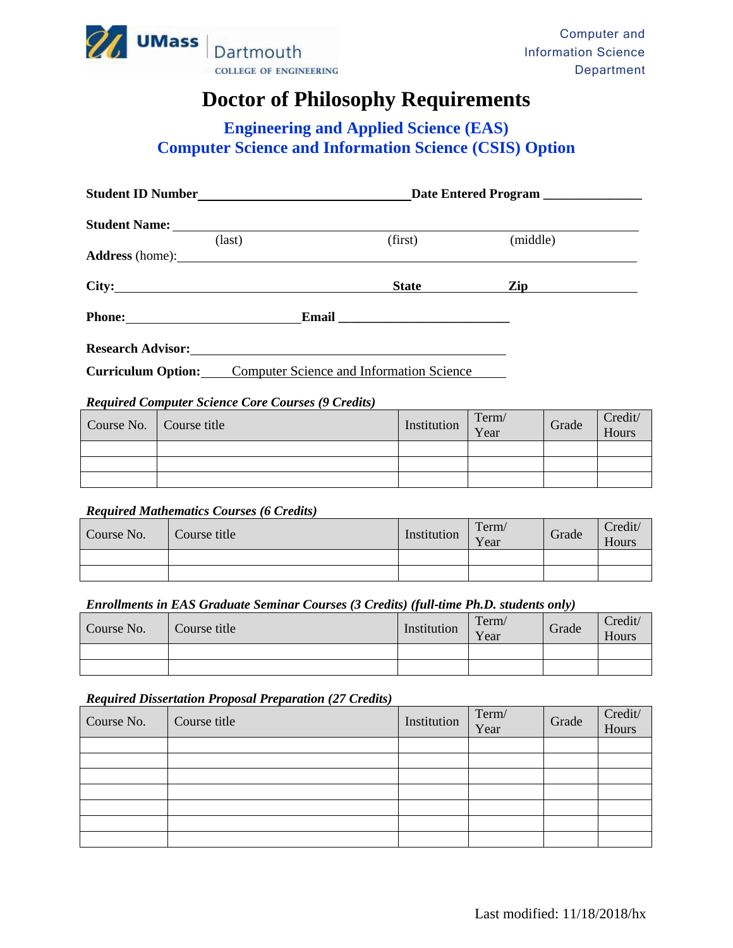

# **Doctor of Philosophy Requirements**

# **Engineering and Applied Science (EAS) Computer Science and Information Science (CSIS) Option**

|                           |                                                 | Date Entered Program |                |  |
|---------------------------|-------------------------------------------------|----------------------|----------------|--|
|                           |                                                 |                      |                |  |
|                           | $\text{(last)}$                                 | (first)              | (middle)       |  |
|                           | Address (home):                                 |                      |                |  |
|                           | City:                                           | <b>State</b>         | $\mathbf{Zip}$ |  |
|                           |                                                 |                      |                |  |
|                           | Research Advisor:                               |                      |                |  |
| <b>Curriculum Option:</b> | <b>Computer Science and Information Science</b> |                      |                |  |

### *Required Computer Science Core Courses (9 Credits)*

| Course No.   Course title | Institution | Term/<br>Year | Grade | Credit/<br>Hours |
|---------------------------|-------------|---------------|-------|------------------|
|                           |             |               |       |                  |
|                           |             |               |       |                  |
|                           |             |               |       |                  |

#### *Required Mathematics Courses (6 Credits)*

| Course No. | Course title | Institution | Term/<br>Year | Grade | Credit/<br>Hours |
|------------|--------------|-------------|---------------|-------|------------------|
|            |              |             |               |       |                  |
|            |              |             |               |       |                  |

#### *Enrollments in EAS Graduate Seminar Courses (3 Credits) (full‐time Ph.D. students only)*

| Course No. | Course title | Institution | Term/<br>Year | Grade | Credit/<br>Hours |
|------------|--------------|-------------|---------------|-------|------------------|
|            |              |             |               |       |                  |
|            |              |             |               |       |                  |

#### *Required Dissertation Proposal Preparation (27 Credits)*

| Course No. | Course title | Institution | Term/<br>Year | Grade | Credit/<br>Hours <sup>1</sup> |
|------------|--------------|-------------|---------------|-------|-------------------------------|
|            |              |             |               |       |                               |
|            |              |             |               |       |                               |
|            |              |             |               |       |                               |
|            |              |             |               |       |                               |
|            |              |             |               |       |                               |
|            |              |             |               |       |                               |
|            |              |             |               |       |                               |